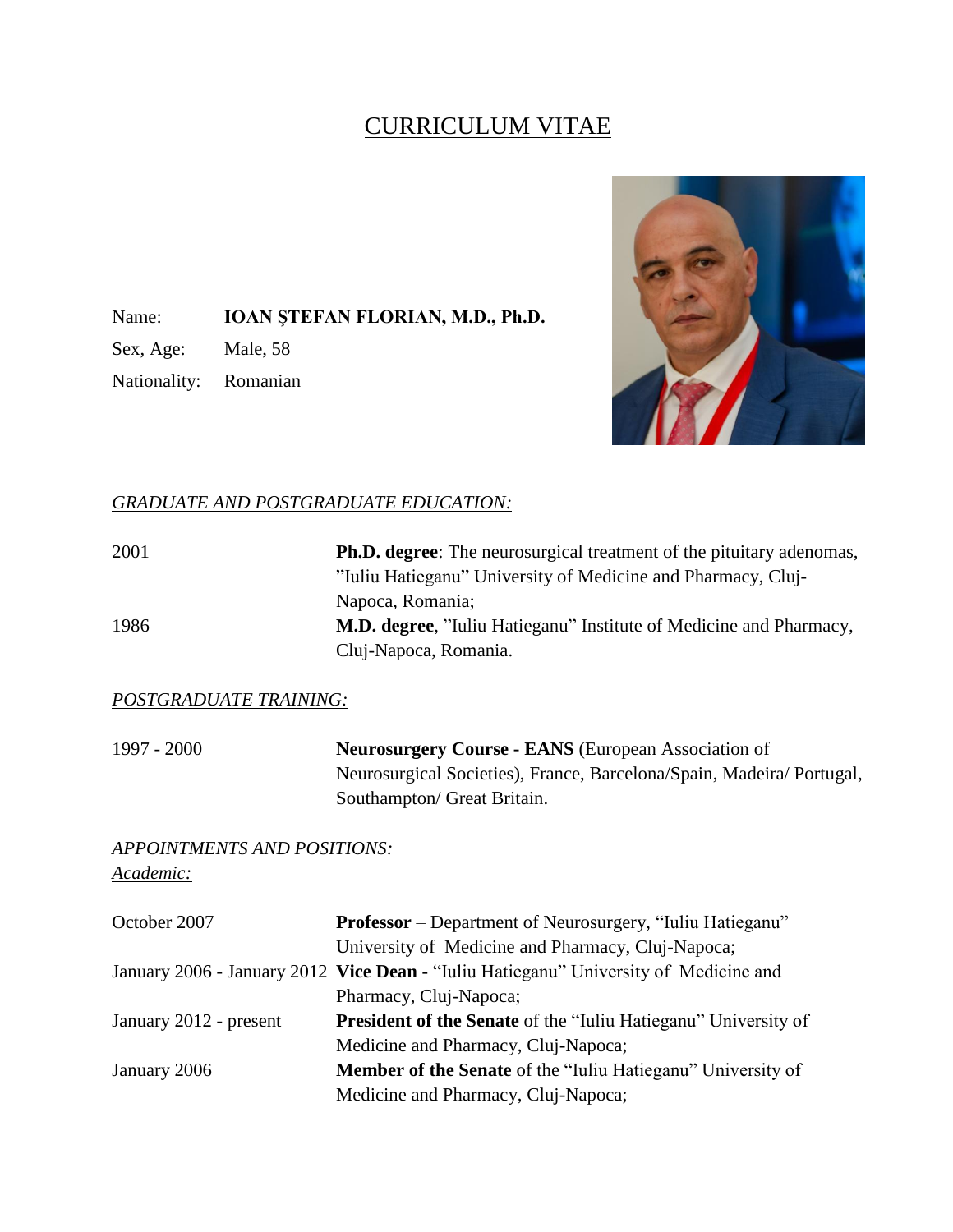# CURRICULUM VITAE

Name: **IOAN ŞTEFAN FLORIAN, M.D., Ph.D.**

Sex, Age: Male, 58

Nationality: Romanian



## *GRADUATE AND POSTGRADUATE EDUCATION:*

| 2001                   | <b>Ph.D. degree:</b> The neurosurgical treatment of the pituitary adenomas,<br>"Iuliu Hatieganu" University of Medicine and Pharmacy, Cluj- |
|------------------------|---------------------------------------------------------------------------------------------------------------------------------------------|
|                        | Napoca, Romania;                                                                                                                            |
| 1986                   | <b>M.D. degree,</b> "Iuliu Hatieganu" Institute of Medicine and Pharmacy,                                                                   |
|                        | Cluj-Napoca, Romania.                                                                                                                       |
| POSTGRADUATE TRAINING: |                                                                                                                                             |
| 1997 - 2000            | <b>Neurosurgery Course - EANS</b> (European Association of                                                                                  |
|                        | Neurosurgical Societies), France, Barcelona/Spain, Madeira/Portugal,                                                                        |

*APPOINTMENTS AND POSITIONS: Academic:*

| October 2007           | <b>Professor</b> – Department of Neurosurgery, "Iuliu Hatieganu"                     |
|------------------------|--------------------------------------------------------------------------------------|
|                        | University of Medicine and Pharmacy, Cluj-Napoca;                                    |
|                        | January 2006 - January 2012 Vice Dean - "Iuliu Hatieganu" University of Medicine and |
|                        | Pharmacy, Cluj-Napoca;                                                               |
| January 2012 - present | President of the Senate of the "Iuliu Hatieganu" University of                       |
|                        | Medicine and Pharmacy, Cluj-Napoca;                                                  |
| January 2006           | <b>Member of the Senate</b> of the "Iuliu Hatieganu" University of                   |
|                        | Medicine and Pharmacy, Cluj-Napoca;                                                  |

Southampton/ Great Britain.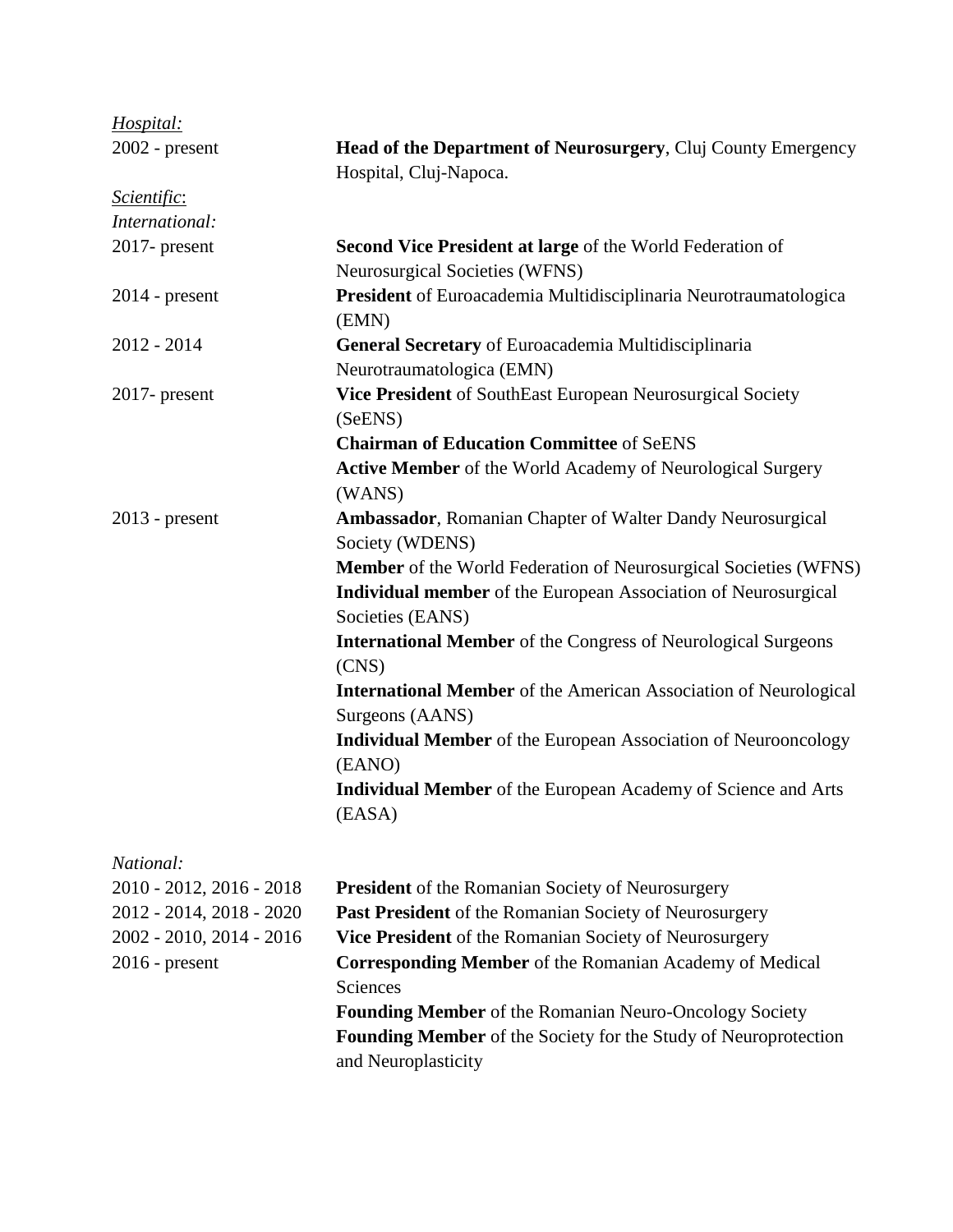| Hospital:                 |                                                                                            |
|---------------------------|--------------------------------------------------------------------------------------------|
| 2002 - present            | Head of the Department of Neurosurgery, Cluj County Emergency                              |
|                           | Hospital, Cluj-Napoca.                                                                     |
| <i><u>Scientific:</u></i> |                                                                                            |
| International:            |                                                                                            |
| $2017$ - present          | <b>Second Vice President at large of the World Federation of</b>                           |
|                           | <b>Neurosurgical Societies (WFNS)</b>                                                      |
| $2014$ - present          | President of Euroacademia Multidisciplinaria Neurotraumatologica<br>(EMN)                  |
| $2012 - 2014$             | General Secretary of Euroacademia Multidisciplinaria                                       |
|                           | Neurotraumatologica (EMN)                                                                  |
| $2017$ - present          | Vice President of SouthEast European Neurosurgical Society<br>(SeENS)                      |
|                           | <b>Chairman of Education Committee of SeENS</b>                                            |
|                           | Active Member of the World Academy of Neurological Surgery<br>(WANS)                       |
| $2013$ - present          | <b>Ambassador</b> , Romanian Chapter of Walter Dandy Neurosurgical<br>Society (WDENS)      |
|                           | <b>Member</b> of the World Federation of Neurosurgical Societies (WFNS)                    |
|                           | Individual member of the European Association of Neurosurgical<br>Societies (EANS)         |
|                           | <b>International Member</b> of the Congress of Neurological Surgeons<br>(CNS)              |
|                           | <b>International Member</b> of the American Association of Neurological<br>Surgeons (AANS) |
|                           | <b>Individual Member</b> of the European Association of Neurooncology<br>(EANO)            |
|                           | <b>Individual Member</b> of the European Academy of Science and Arts<br>(EASA)             |
| National:                 |                                                                                            |
| 2010 - 2012, 2016 - 2018  | <b>President</b> of the Romanian Society of Neurosurgery                                   |
| 2012 - 2014, 2018 - 2020  | <b>Past President</b> of the Romanian Society of Neurosurgery                              |
| 2002 - 2010, 2014 - 2016  | Vice President of the Romanian Society of Neurosurgery                                     |
| $2016$ - present          | <b>Corresponding Member</b> of the Romanian Academy of Medical<br>Sciences                 |

**Founding Member** of the Romanian Neuro-Oncology Society **Founding Member** of the Society for the Study of Neuroprotection and Neuroplasticity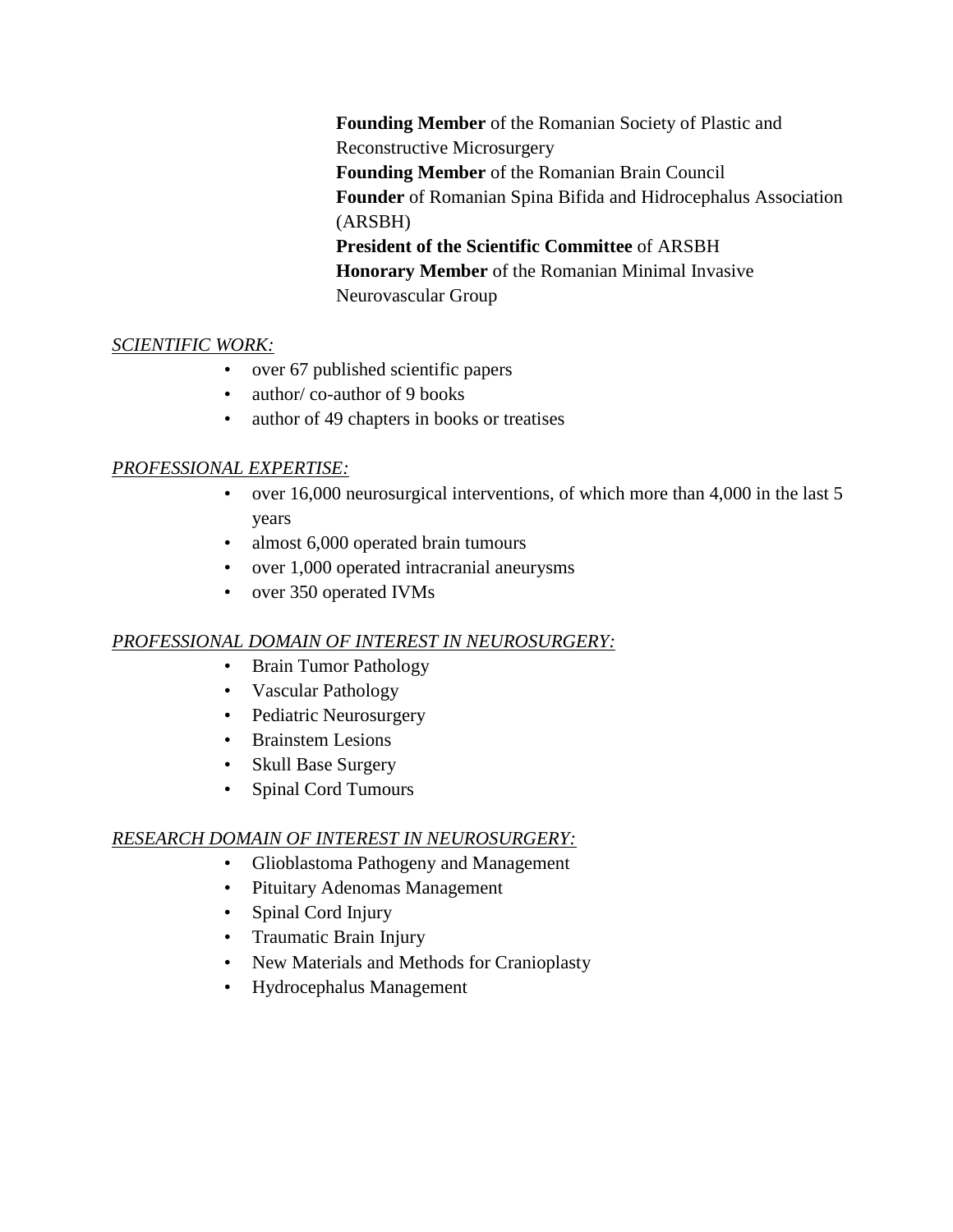**Founding Member** of the Romanian Society of Plastic and Reconstructive Microsurgery **Founding Member** of the Romanian Brain Council **Founder** of Romanian Spina Bifida and Hidrocephalus Association (ARSBH) **President of the Scientific Committee** of ARSBH **Honorary Member** of the Romanian Minimal Invasive Neurovascular Group

# *SCIENTIFIC WORK:*

- over 67 published scientific papers
- author/co-author of 9 books
- author of 49 chapters in books or treatises

# *PROFESSIONAL EXPERTISE:*

- over 16,000 neurosurgical interventions, of which more than 4,000 in the last 5 years
- almost 6,000 operated brain tumours
- over 1,000 operated intracranial aneurysms
- over 350 operated IVMs

## *PROFESSIONAL DOMAIN OF INTEREST IN NEUROSURGERY:*

- Brain Tumor Pathology
- Vascular Pathology
- Pediatric Neurosurgery
- Brainstem Lesions
- Skull Base Surgery
- Spinal Cord Tumours

## *RESEARCH DOMAIN OF INTEREST IN NEUROSURGERY:*

- Glioblastoma Pathogeny and Management
- Pituitary Adenomas Management
- Spinal Cord Injury
- Traumatic Brain Injury
- New Materials and Methods for Cranioplasty
- Hydrocephalus Management